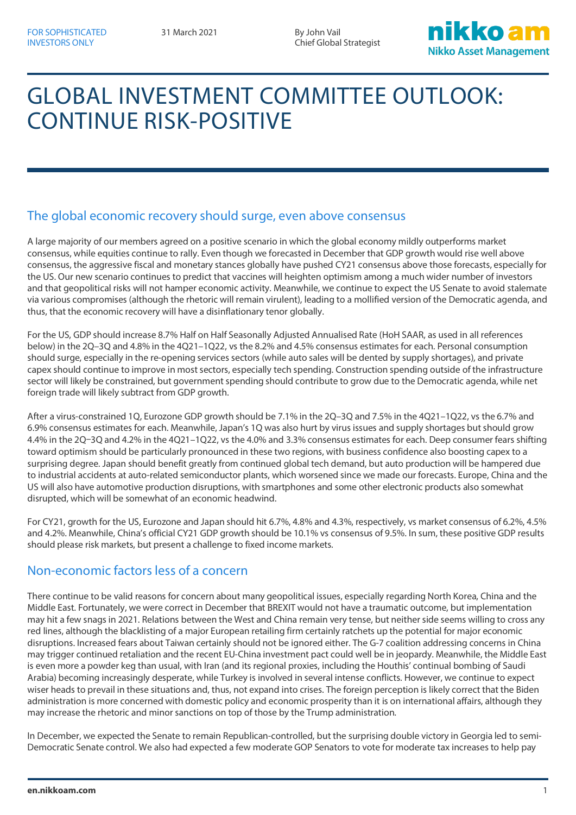Chief Global Strategist



# GLOBAL INVESTMENT COMMITTEE OUTLOOK: CONTINUE RISK-POSITIVE

## The global economic recovery should surge, even above consensus

A large majority of our members agreed on a positive scenario in which the global economy mildly outperforms market consensus, while equities continue to rally. Even though we forecasted in December that GDP growth would rise well above consensus, the aggressive fiscal and monetary stances globally have pushed CY21 consensus above those forecasts, especially for the US. Our new scenario continues to predict that vaccines will heighten optimism among a much wider number of investors and that geopolitical risks will not hamper economic activity. Meanwhile, we continue to expect the US Senate to avoid stalemate via various compromises (although the rhetoric will remain virulent), leading to a mollified version of the Democratic agenda, and thus, that the economic recovery will have a disinflationary tenor globally.

For the US, GDP should increase 8.7% Half on Half Seasonally Adjusted Annualised Rate (HoH SAAR, as used in all references below) in the 2Q–3Q and 4.8% in the 4Q21–1Q22, vs the 8.2% and 4.5% consensus estimates for each. Personal consumption should surge, especially in the re-opening services sectors (while auto sales will be dented by supply shortages), and private capex should continue to improve in most sectors, especially tech spending. Construction spending outside of the infrastructure sector will likely be constrained, but government spending should contribute to grow due to the Democratic agenda, while net foreign trade will likely subtract from GDP growth.

After a virus-constrained 1Q, Eurozone GDP growth should be 7.1% in the 2Q–3Q and 7.5% in the 4Q21–1Q22, vs the 6.7% and 6.9% consensus estimates for each. Meanwhile, Japan's 1Q was also hurt by virus issues and supply shortages but should grow 4.4% in the 2Q–3Q and 4.2% in the 4Q21–1Q22, vs the 4.0% and 3.3% consensus estimates for each. Deep consumer fears shifting toward optimism should be particularly pronounced in these two regions, with business confidence also boosting capex to a surprising degree. Japan should benefit greatly from continued global tech demand, but auto production will be hampered due to industrial accidents at auto-related semiconductor plants, which worsened since we made our forecasts. Europe, China and the US will also have automotive production disruptions, with smartphones and some other electronic products also somewhat disrupted, which will be somewhat of an economic headwind.

For CY21, growth for the US, Eurozone and Japan should hit 6.7%, 4.8% and 4.3%, respectively, vs market consensus of 6.2%, 4.5% and 4.2%. Meanwhile, China's official CY21 GDP growth should be 10.1% vs consensus of 9.5%. In sum, these positive GDP results should please risk markets, but present a challenge to fixed income markets.

#### Non-economic factors less of a concern

There continue to be valid reasons for concern about many geopolitical issues, especially regarding North Korea, China and the Middle East. Fortunately, we were correct in December that BREXIT would not have a traumatic outcome, but implementation may hit a few snags in 2021. Relations between the West and China remain very tense, but neither side seems willing to cross any red lines, although the blacklisting of a major European retailing firm certainly ratchets up the potential for major economic disruptions. Increased fears about Taiwan certainly should not be ignored either. The G-7 coalition addressing concerns in China may trigger continued retaliation and the recent EU-China investment pact could well be in jeopardy. Meanwhile, the Middle East is even more a powder keg than usual, with Iran (and its regional proxies, including the Houthis' continual bombing of Saudi Arabia) becoming increasingly desperate, while Turkey is involved in several intense conflicts. However, we continue to expect wiser heads to prevail in these situations and, thus, not expand into crises. The foreign perception is likely correct that the Biden administration is more concerned with domestic policy and economic prosperity than it is on international affairs, although they may increase the rhetoric and minor sanctions on top of those by the Trump administration.

In December, we expected the Senate to remain Republican-controlled, but the surprising double victory in Georgia led to semi-Democratic Senate control. We also had expected a few moderate GOP Senators to vote for moderate tax increases to help pay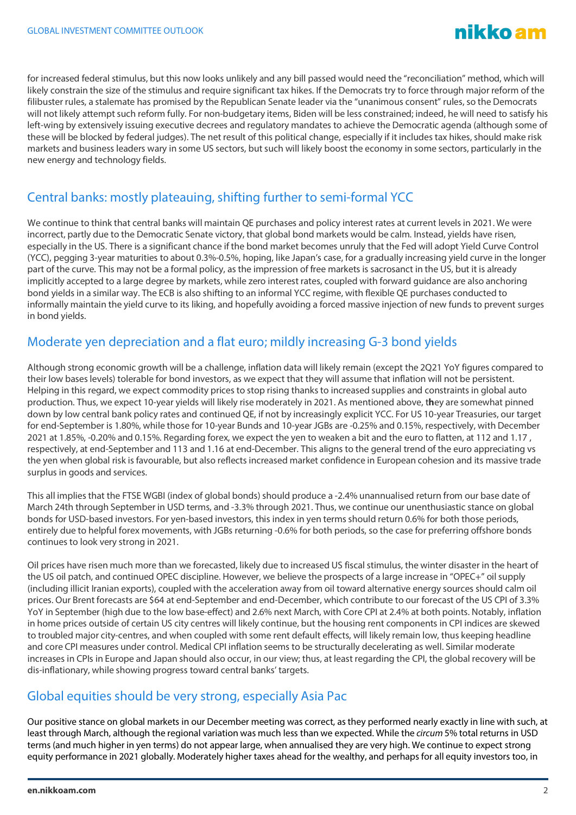

for increased federal stimulus, but this now looks unlikely and any bill passed would need the "reconciliation" method, which will likely constrain the size of the stimulus and require significant tax hikes. If the Democrats try to force through major reform of the filibuster rules, a stalemate has promised by the Republican Senate leader via the "unanimous consent" rules, so the Democrats will not likely attempt such reform fully. For non-budgetary items, Biden will be less constrained; indeed, he will need to satisfy his left-wing by extensively issuing executive decrees and regulatory mandates to achieve the Democratic agenda (although some of these will be blocked by federal judges). The net result of this political change, especially if it includes tax hikes, should make risk markets and business leaders wary in some US sectors, but such will likely boost the economy in some sectors, particularly in the new energy and technology fields.

## Central banks: mostly plateauing, shifting further to semi-formal YCC

We continue to think that central banks will maintain QE purchases and policy interest rates at current levels in 2021. We were incorrect, partly due to the Democratic Senate victory, that global bond markets would be calm. Instead, yields have risen, especially in the US. There is a significant chance if the bond market becomes unruly that the Fed will adopt Yield Curve Control (YCC), pegging 3-year maturities to about 0.3%-0.5%, hoping, like Japan's case, for a gradually increasing yield curve in the longer part of the curve. This may not be a formal policy, as the impression of free markets is sacrosanct in the US, but it is already implicitly accepted to a large degree by markets, while zero interest rates, coupled with forward guidance are also anchoring bond yields in a similar way. The ECB is also shifting to an informal YCC regime, with flexible QE purchases conducted to informally maintain the yield curve to its liking, and hopefully avoiding a forced massive injection of new funds to prevent surges in bond yields.

## Moderate yen depreciation and a flat euro; mildly increasing G-3 bond yields

Although strong economic growth will be a challenge, inflation data will likely remain (except the 2Q21 YoY figures compared to their low bases levels) tolerable for bond investors, as we expect that they will assume that inflation will not be persistent. Helping in this regard, we expect commodity prices to stop rising thanks to increased supplies and constraints in global auto production. Thus, we expect 10-year yields will likely rise moderately in 2021. As mentioned above, t**h**ey are somewhat pinned down by low central bank policy rates and continued QE, if not by increasingly explicit YCC. For US 10-year Treasuries, our target for end-September is 1.80%, while those for 10-year Bunds and 10-year JGBs are -0.25% and 0.15%, respectively, with December 2021 at 1.85%, -0.20% and 0.15%. Regarding forex, we expect the yen to weaken a bit and the euro to flatten, at 112 and 1.17 , respectively, at end-September and 113 and 1.16 at end-December. This aligns to the general trend of the euro appreciating vs the yen when global risk is favourable, but also reflects increased market confidence in European cohesion and its massive trade surplus in goods and services.

This all implies that the FTSE WGBI (index of global bonds) should produce a -2.4% unannualised return from our base date of March 24th through September in USD terms, and -3.3% through 2021. Thus, we continue our unenthusiastic stance on global bonds for USD-based investors. For yen-based investors, this index in yen terms should return 0.6% for both those periods, entirely due to helpful forex movements, with JGBs returning -0.6% for both periods, so the case for preferring offshore bonds continues to look very strong in 2021.

Oil prices have risen much more than we forecasted, likely due to increased US fiscal stimulus, the winter disaster in the heart of the US oil patch, and continued OPEC discipline. However, we believe the prospects of a large increase in "OPEC+" oil supply (including illicit Iranian exports), coupled with the acceleration away from oil toward alternative energy sources should calm oil prices. Our Brent forecasts are \$64 at end-September and end-December, which contribute to our forecast of the US CPI of 3.3% YoY in September (high due to the low base-effect) and 2.6% next March, with Core CPI at 2.4% at both points. Notably, inflation in home prices outside of certain US city centres will likely continue, but the housing rent components in CPI indices are skewed to troubled major city-centres, and when coupled with some rent default effects, will likely remain low, thus keeping headline and core CPI measures under control. Medical CPI inflation seems to be structurally decelerating as well. Similar moderate increases in CPIs in Europe and Japan should also occur, in our view; thus, at least regarding the CPI, the global recovery will be dis-inflationary, while showing progress toward central banks' targets.

#### Global equities should be very strong, especially Asia Pac

Our positive stance on global markets in our December meeting was correct, as they performed nearly exactly in line with such, at least through March, although the regional variation was much less than we expected. While the *circum* 5% total returns in USD terms (and much higher in yen terms) do not appear large, when annualised they are very high. We continue to expect strong equity performance in 2021 globally. Moderately higher taxes ahead for the wealthy, and perhaps for all equity investors too, in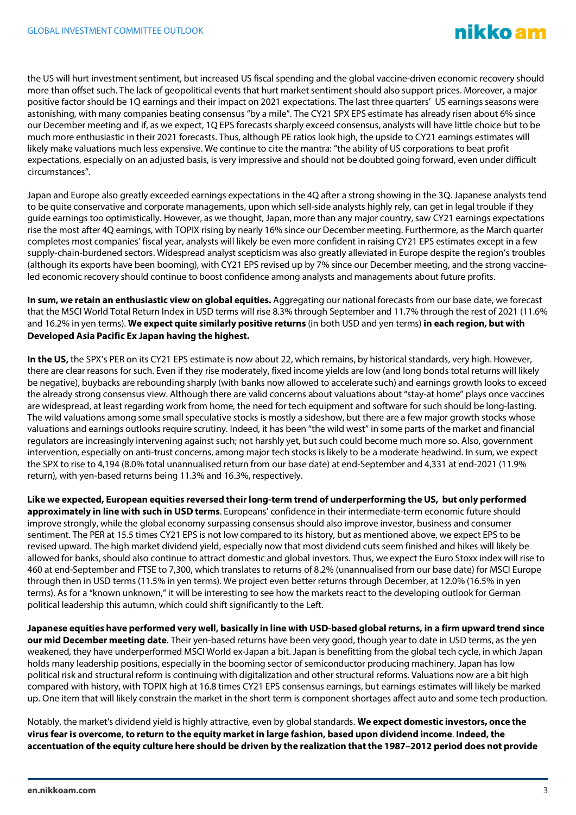the US will hurt investment sentiment, but increased US fiscal spending and the global vaccine-driven economic recovery should more than offset such. The lack of geopolitical events that hurt market sentiment should also support prices. Moreover, a major positive factor should be 1Q earnings and their impact on 2021 expectations. The last three quarters' US earnings seasons were astonishing, with many companies beating consensus "by a mile". The CY21 SPX EPS estimate has already risen about 6% since our December meeting and if, as we expect, 1Q EPS forecasts sharply exceed consensus, analysts will have little choice but to be much more enthusiastic in their 2021 forecasts. Thus, although PE ratios look high, the upside to CY21 earnings estimates will likely make valuations much less expensive. We continue to cite the mantra: "the ability of US corporations to beat profit expectations, especially on an adjusted basis, is very impressive and should not be doubted going forward, even under difficult circumstances".

Japan and Europe also greatly exceeded earnings expectations in the 4Q after a strong showing in the 3Q. Japanese analysts tend to be quite conservative and corporate managements, upon which sell-side analysts highly rely, can get in legal trouble if they guide earnings too optimistically. However, as we thought, Japan, more than any major country, saw CY21 earnings expectations rise the most after 4Q earnings, with TOPIX rising by nearly 16% since our December meeting. Furthermore, as the March quarter completes most companies' fiscal year, analysts will likely be even more confident in raising CY21 EPS estimates except in a few supply-chain-burdened sectors. Widespread analyst scepticism was also greatly alleviated in Europe despite the region's troubles (although its exports have been booming), with CY21 EPS revised up by 7% since our December meeting, and the strong vaccineled economic recovery should continue to boost confidence among analysts and managements about future profits.

**In sum, we retain an enthusiastic view on global equities.** Aggregating our national forecasts from our base date, we forecast that the MSCI World Total Return Index in USD terms will rise 8.3% through September and 11.7% through the rest of 2021 (11.6% and 16.2% in yen terms). **We expect quite similarly positive returns** (in both USD and yen terms) **in each region, but with Developed Asia Pacific Ex Japan having the highest.**

**In the US,** the SPX's PER on its CY21 EPS estimate is now about 22, which remains, by historical standards, very high. However, there are clear reasons for such. Even if they rise moderately, fixed income yields are low (and long bonds total returns will likely be negative), buybacks are rebounding sharply (with banks now allowed to accelerate such) and earnings growth looks to exceed the already strong consensus view. Although there are valid concerns about valuations about "stay-at home" plays once vaccines are widespread, at least regarding work from home, the need for tech equipment and software for such should be long-lasting. The wild valuations among some small speculative stocks is mostly a sideshow, but there are a few major growth stocks whose valuations and earnings outlooks require scrutiny. Indeed, it has been "the wild west" in some parts of the market and financial regulators are increasingly intervening against such; not harshly yet, but such could become much more so. Also, government intervention, especially on anti-trust concerns, among major tech stocks is likely to be a moderate headwind. In sum, we expect the SPX to rise to 4,194 (8.0% total unannualised return from our base date) at end-September and 4,331 at end-2021 (11.9% return), with yen-based returns being 11.3% and 16.3%, respectively.

**Like we expected, European equities reversed their long-term trend of underperforming the US, but only performed approximately in line with such in USD terms**. Europeans' confidence in their intermediate-term economic future should improve strongly, while the global economy surpassing consensus should also improve investor, business and consumer sentiment. The PER at 15.5 times CY21 EPS is not low compared to its history, but as mentioned above, we expect EPS to be revised upward. The high market dividend yield, especially now that most dividend cuts seem finished and hikes will likely be allowed for banks, should also continue to attract domestic and global investors. Thus, we expect the Euro Stoxx index will rise to 460 at end-September and FTSE to 7,300, which translates to returns of 8.2% (unannualised from our base date) for MSCI Europe through then in USD terms (11.5% in yen terms). We project even better returns through December, at 12.0% (16.5% in yen terms). As for a "known unknown," it will be interesting to see how the markets react to the developing outlook for German political leadership this autumn, which could shift significantly to the Left.

**Japanese equities have performed very well, basically in line with USD-based global returns, in a firm upward trend since our mid December meeting date**. Their yen-based returns have been very good, though year to date in USD terms, as the yen weakened, they have underperformed MSCI World ex-Japan a bit. Japan is benefitting from the global tech cycle, in which Japan holds many leadership positions, especially in the booming sector of semiconductor producing machinery. Japan has low political risk and structural reform is continuing with digitalization and other structural reforms. Valuations now are a bit high compared with history, with TOPIX high at 16.8 times CY21 EPS consensus earnings, but earnings estimates will likely be marked up. One item that will likely constrain the market in the short term is component shortages affect auto and some tech production.

Notably, the market's dividend yield is highly attractive, even by global standards. **We expect domestic investors, once the virus fear is overcome, to return to the equity market in large fashion, based upon dividend income**. **Indeed, the accentuation of the equity culture here should be driven by the realization that the 1987–2012 period does not provide**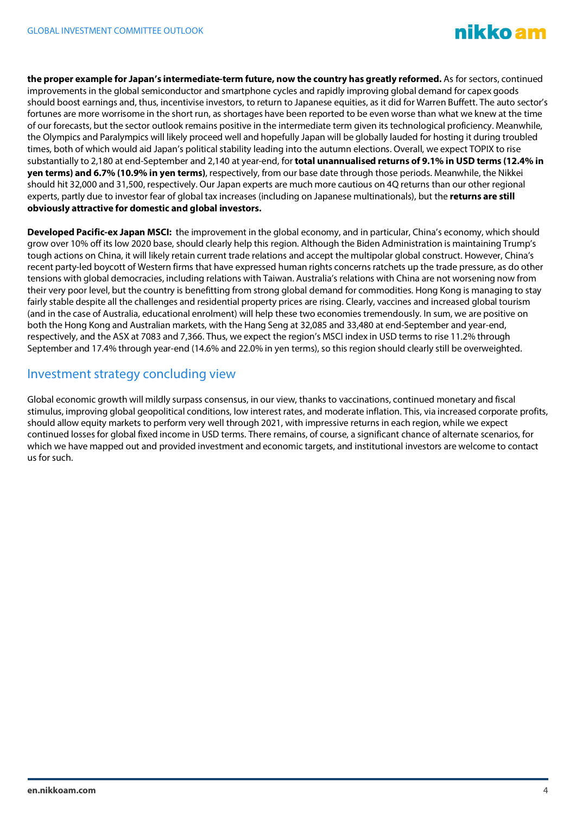

**the proper example for Japan's intermediate-term future, now the country has greatly reformed.** As for sectors, continued improvements in the global semiconductor and smartphone cycles and rapidly improving global demand for capex goods should boost earnings and, thus, incentivise investors, to return to Japanese equities, as it did for Warren Buffett. The auto sector's fortunes are more worrisome in the short run, as shortages have been reported to be even worse than what we knew at the time of our forecasts, but the sector outlook remains positive in the intermediate term given its technological proficiency. Meanwhile, the Olympics and Paralympics will likely proceed well and hopefully Japan will be globally lauded for hosting it during troubled times, both of which would aid Japan's political stability leading into the autumn elections. Overall, we expect TOPIX to rise substantially to 2,180 at end-September and 2,140 at year-end, for **total unannualised returns of 9.1% in USD terms (12.4% in yen terms) and 6.7% (10.9% in yen terms)**, respectively, from our base date through those periods. Meanwhile, the Nikkei should hit 32,000 and 31,500, respectively. Our Japan experts are much more cautious on 4Q returns than our other regional experts, partly due to investor fear of global tax increases (including on Japanese multinationals), but the **returns are still obviously attractive for domestic and global investors.**

**Developed Pacific-ex Japan MSCI:** the improvement in the global economy, and in particular, China's economy, which should grow over 10% off its low 2020 base, should clearly help this region. Although the Biden Administration is maintaining Trump's tough actions on China, it will likely retain current trade relations and accept the multipolar global construct. However, China's recent party-led boycott of Western firms that have expressed human rights concerns ratchets up the trade pressure, as do other tensions with global democracies, including relations with Taiwan. Australia's relations with China are not worsening now from their very poor level, but the country is benefitting from strong global demand for commodities. Hong Kong is managing to stay fairly stable despite all the challenges and residential property prices are rising. Clearly, vaccines and increased global tourism (and in the case of Australia, educational enrolment) will help these two economies tremendously. In sum, we are positive on both the Hong Kong and Australian markets, with the Hang Seng at 32,085 and 33,480 at end-September and year-end, respectively, and the ASX at 7083 and 7,366. Thus, we expect the region's MSCI index in USD terms to rise 11.2% through September and 17.4% through year-end (14.6% and 22.0% in yen terms), so this region should clearly still be overweighted.

#### Investment strategy concluding view

Global economic growth will mildly surpass consensus, in our view, thanks to vaccinations, continued monetary and fiscal stimulus, improving global geopolitical conditions, low interest rates, and moderate inflation. This, via increased corporate profits, should allow equity markets to perform very well through 2021, with impressive returns in each region, while we expect continued losses for global fixed income in USD terms. There remains, of course, a significant chance of alternate scenarios, for which we have mapped out and provided investment and economic targets, and institutional investors are welcome to contact us for such.